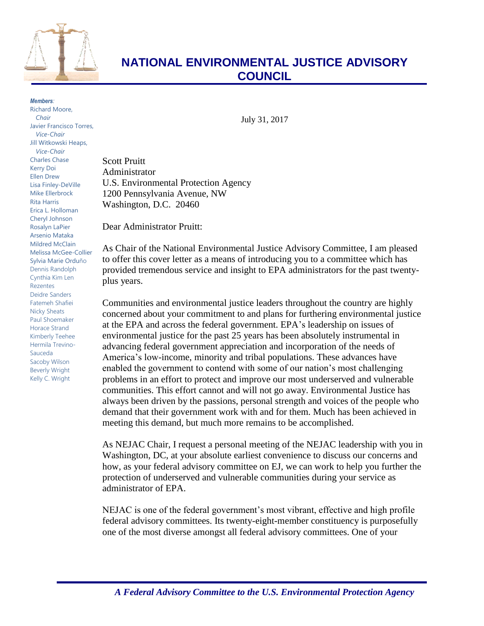

## **NATIONAL ENVIRONMENTAL JUSTICE ADVISORY COUNCIL**

*Members:* Richard Moore, *Chair* Javier Francisco Torres, *Vice-Chair* Jill Witkowski Heaps, *Vice-Chair* Charles Chase Kerry Doi Ellen Drew Lisa Finley-DeVille Mike Ellerbrock Rita Harris Erica L. Holloman Cheryl Johnson Rosalyn LaPier Arsenio Mataka Mildred McClain Melissa McGee-Collier Sylvia Marie Orduño Dennis Randolph Cynthia Kim Len Rezentes Deidre Sanders Fatemeh Shafiei Nicky Sheats Paul Shoemaker Horace Strand Kimberly Teehee Hermila Trevino-Sauceda Sacoby Wilson Beverly Wright Kelly C. Wright

July 31, 2017

Scott Pruitt Administrator U.S. Environmental Protection Agency 1200 Pennsylvania Avenue, NW Washington, D.C. 20460

Dear Administrator Pruitt:

As Chair of the National Environmental Justice Advisory Committee, I am pleased to offer this cover letter as a means of introducing you to a committee which has provided tremendous service and insight to EPA administrators for the past twentyplus years.

Communities and environmental justice leaders throughout the country are highly concerned about your commitment to and plans for furthering environmental justice at the EPA and across the federal government. EPA's leadership on issues of environmental justice for the past 25 years has been absolutely instrumental in advancing federal government appreciation and incorporation of the needs of America's low-income, minority and tribal populations. These advances have enabled the government to contend with some of our nation's most challenging problems in an effort to protect and improve our most underserved and vulnerable communities. This effort cannot and will not go away. Environmental Justice has always been driven by the passions, personal strength and voices of the people who demand that their government work with and for them. Much has been achieved in meeting this demand, but much more remains to be accomplished.

As NEJAC Chair, I request a personal meeting of the NEJAC leadership with you in Washington, DC, at your absolute earliest convenience to discuss our concerns and how, as your federal advisory committee on EJ, we can work to help you further the protection of underserved and vulnerable communities during your service as administrator of EPA.

NEJAC is one of the federal government's most vibrant, effective and high profile federal advisory committees. Its twenty-eight-member constituency is purposefully one of the most diverse amongst all federal advisory committees. One of your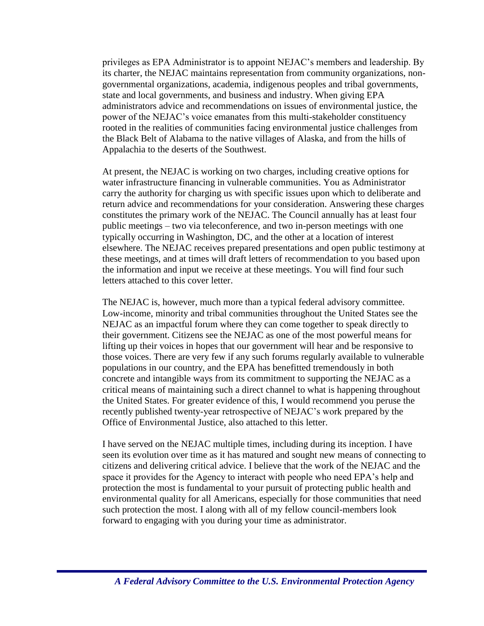privileges as EPA Administrator is to appoint NEJAC's members and leadership. By its charter, the NEJAC maintains representation from community organizations, nongovernmental organizations, academia, indigenous peoples and tribal governments, state and local governments, and business and industry. When giving EPA administrators advice and recommendations on issues of environmental justice, the power of the NEJAC's voice emanates from this multi-stakeholder constituency rooted in the realities of communities facing environmental justice challenges from the Black Belt of Alabama to the native villages of Alaska, and from the hills of Appalachia to the deserts of the Southwest.

At present, the NEJAC is working on two charges, including creative options for water infrastructure financing in vulnerable communities. You as Administrator carry the authority for charging us with specific issues upon which to deliberate and return advice and recommendations for your consideration. Answering these charges constitutes the primary work of the NEJAC. The Council annually has at least four public meetings – two via teleconference, and two in-person meetings with one typically occurring in Washington, DC, and the other at a location of interest elsewhere. The NEJAC receives prepared presentations and open public testimony at these meetings, and at times will draft letters of recommendation to you based upon the information and input we receive at these meetings. You will find four such letters attached to this cover letter.

The NEJAC is, however, much more than a typical federal advisory committee. Low-income, minority and tribal communities throughout the United States see the NEJAC as an impactful forum where they can come together to speak directly to their government. Citizens see the NEJAC as one of the most powerful means for lifting up their voices in hopes that our government will hear and be responsive to those voices. There are very few if any such forums regularly available to vulnerable populations in our country, and the EPA has benefitted tremendously in both concrete and intangible ways from its commitment to supporting the NEJAC as a critical means of maintaining such a direct channel to what is happening throughout the United States. For greater evidence of this, I would recommend you peruse the recently published twenty-year retrospective of NEJAC's work prepared by the Office of Environmental Justice, also attached to this letter.

I have served on the NEJAC multiple times, including during its inception. I have seen its evolution over time as it has matured and sought new means of connecting to citizens and delivering critical advice. I believe that the work of the NEJAC and the space it provides for the Agency to interact with people who need EPA's help and protection the most is fundamental to your pursuit of protecting public health and environmental quality for all Americans, especially for those communities that need such protection the most. I along with all of my fellow council-members look forward to engaging with you during your time as administrator.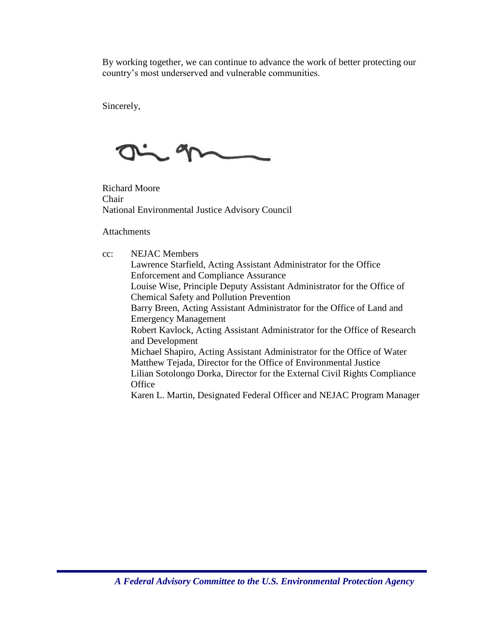By working together, we can continue to advance the work of better protecting our country's most underserved and vulnerable communities.

Sincerely,

Q

Richard Moore Chair National Environmental Justice Advisory Council

**Attachments** 

cc: NEJAC Members Lawrence Starfield, Acting Assistant Administrator for the Office Enforcement and Compliance Assurance Louise Wise, Principle Deputy Assistant Administrator for the Office of Chemical Safety and Pollution Prevention Barry Breen, Acting Assistant Administrator for the Office of Land and Emergency Management Robert Kavlock, Acting Assistant Administrator for the Office of Research and Development Michael Shapiro, Acting Assistant Administrator for the Office of Water Matthew Tejada, Director for the Office of Environmental Justice Lilian Sotolongo Dorka, Director for the External Civil Rights Compliance **Office** Karen L. Martin, Designated Federal Officer and NEJAC Program Manager